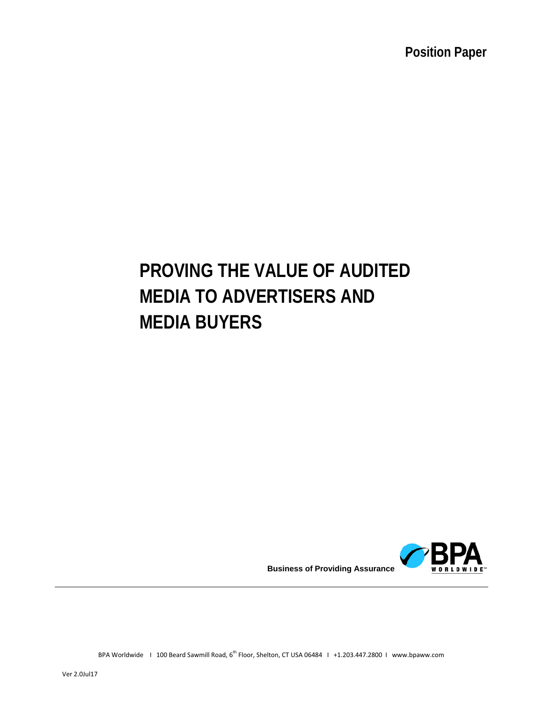# **PROVING THE VALUE OF AUDITED MEDIA TO ADVERTISERS AND MEDIA BUYERS**



BPA Worldwide | 100 Beard Sawmill Road, 6<sup>th</sup> Floor, Shelton, CT USA 06484 | +1.203.447.2800 | www.bpaww.com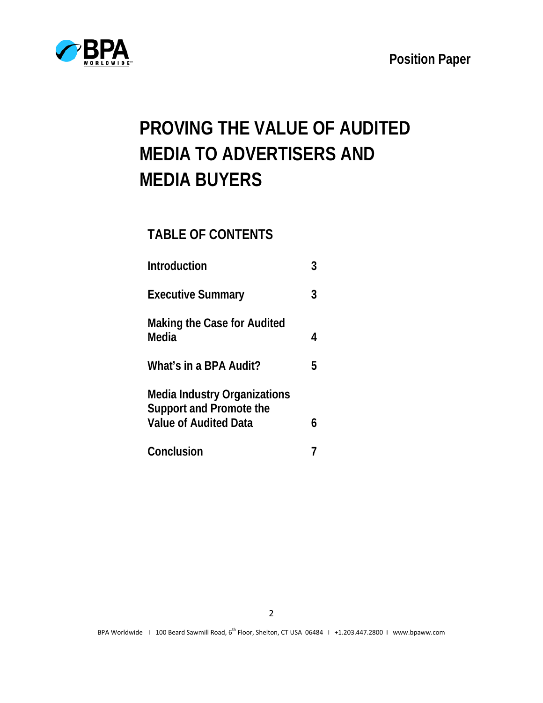



# **PROVING THE VALUE OF AUDITED MEDIA TO ADVERTISERS AND MEDIA BUYERS**

## **TABLE OF CONTENTS**

| Introduction                                                                                   |   |
|------------------------------------------------------------------------------------------------|---|
| <b>Executive Summary</b>                                                                       | 3 |
| Making the Case for Audited<br>Media                                                           | 4 |
| What's in a BPA Audit?                                                                         | 5 |
| Media Industry Organizations<br><b>Support and Promote the</b><br><b>Value of Audited Data</b> | h |
| Conclusion                                                                                     |   |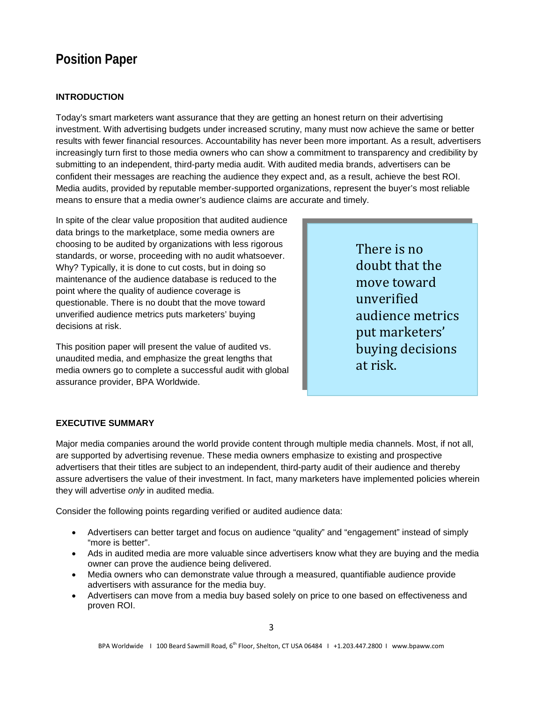## **INTRODUCTION**

Today's smart marketers want assurance that they are getting an honest return on their advertising investment. With advertising budgets under increased scrutiny, many must now achieve the same or better results with fewer financial resources. Accountability has never been more important. As a result, advertisers increasingly turn first to those media owners who can show a commitment to transparency and credibility by submitting to an independent, third-party media audit. With audited media brands, advertisers can be confident their messages are reaching the audience they expect and, as a result, achieve the best ROI. Media audits, provided by reputable member-supported organizations, represent the buyer's most reliable means to ensure that a media owner's audience claims are accurate and timely.

In spite of the clear value proposition that audited audience data brings to the marketplace, some media owners are choosing to be audited by organizations with less rigorous standards, or worse, proceeding with no audit whatsoever. Why? Typically, it is done to cut costs, but in doing so maintenance of the audience database is reduced to the point where the quality of audience coverage is questionable. There is no doubt that the move toward unverified audience metrics puts marketers' buying decisions at risk.

This position paper will present the value of audited vs. unaudited media, and emphasize the great lengths that media owners go to complete a successful audit with global assurance provider, BPA Worldwide.

There is no doubt that the move toward unverified audience metrics put marketers' buying decisions at risk.

### **EXECUTIVE SUMMARY**

Major media companies around the world provide content through multiple media channels. Most, if not all, are supported by advertising revenue. These media owners emphasize to existing and prospective advertisers that their titles are subject to an independent, third-party audit of their audience and thereby assure advertisers the value of their investment. In fact, many marketers have implemented policies wherein they will advertise *only* in audited media.

Consider the following points regarding verified or audited audience data:

- Advertisers can better target and focus on audience "quality" and "engagement" instead of simply "more is better".
- Ads in audited media are more valuable since advertisers know what they are buying and the media owner can prove the audience being delivered.
- Media owners who can demonstrate value through a measured, quantifiable audience provide advertisers with assurance for the media buy.
- Advertisers can move from a media buy based solely on price to one based on effectiveness and proven ROI.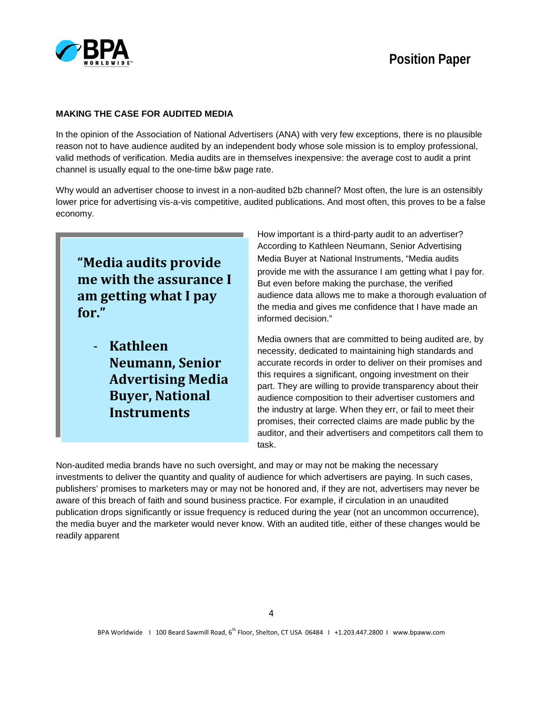

### **MAKING THE CASE FOR AUDITED MEDIA**

In the opinion of the Association of National Advertisers (ANA) with very few exceptions, there is no plausible reason not to have audience audited by an independent body whose sole mission is to employ professional, valid methods of verification. Media audits are in themselves inexpensive: the average cost to audit a print channel is usually equal to the one-time b&w page rate.

Why would an advertiser choose to invest in a non-audited b2b channel? Most often, the lure is an ostensibly lower price for advertising vis-a-vis competitive, audited publications. And most often, this proves to be a false economy.

**"Media audits provide me with the assurance I am getting what I pay for."**

- **Kathleen Neumann, Senior Advertising Media Buyer, National Instruments**

How important is a third-party audit to an advertiser? According to Kathleen Neumann, Senior Advertising Media Buyer at National Instruments, "Media audits provide me with the assurance I am getting what I pay for. But even before making the purchase, the verified audience data allows me to make a thorough evaluation of the media and gives me confidence that I have made an informed decision."

Media owners that are committed to being audited are, by necessity, dedicated to maintaining high standards and accurate records in order to deliver on their promises and this requires a significant, ongoing investment on their part. They are willing to provide transparency about their audience composition to their advertiser customers and the industry at large. When they err, or fail to meet their promises, their corrected claims are made public by the auditor, and their advertisers and competitors call them to task.

Non-audited media brands have no such oversight, and may or may not be making the necessary investments to deliver the quantity and quality of audience for which advertisers are paying. In such cases, publishers' promises to marketers may or may not be honored and, if they are not, advertisers may never be aware of this breach of faith and sound business practice. For example, if circulation in an unaudited publication drops significantly or issue frequency is reduced during the year (not an uncommon occurrence), the media buyer and the marketer would never know. With an audited title, either of these changes would be readily apparent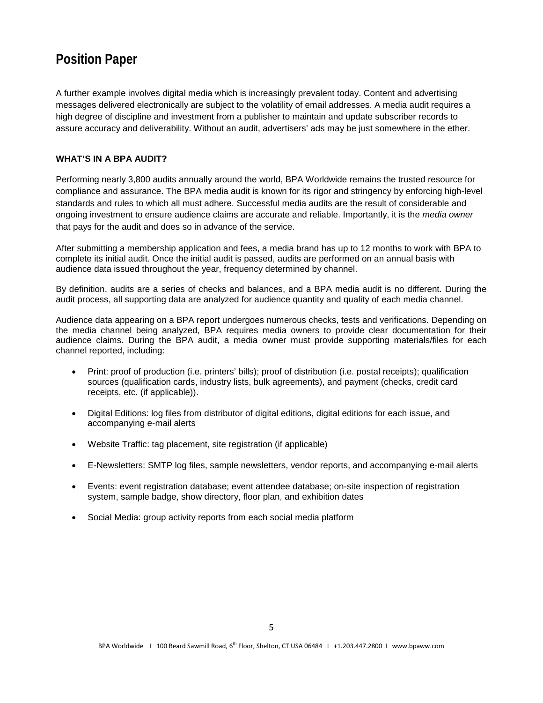A further example involves digital media which is increasingly prevalent today. Content and advertising messages delivered electronically are subject to the volatility of email addresses. A media audit requires a high degree of discipline and investment from a publisher to maintain and update subscriber records to assure accuracy and deliverability. Without an audit, advertisers' ads may be just somewhere in the ether.

#### **WHAT'S IN A BPA AUDIT?**

Performing nearly 3,800 audits annually around the world, BPA Worldwide remains the trusted resource for compliance and assurance. The BPA media audit is known for its rigor and stringency by enforcing high-level standards and rules to which all must adhere. Successful media audits are the result of considerable and ongoing investment to ensure audience claims are accurate and reliable. Importantly, it is the *media owner* that pays for the audit and does so in advance of the service.

After submitting a membership application and fees, a media brand has up to 12 months to work with BPA to complete its initial audit. Once the initial audit is passed, audits are performed on an annual basis with audience data issued throughout the year, frequency determined by channel.

By definition, audits are a series of checks and balances, and a BPA media audit is no different. During the audit process, all supporting data are analyzed for audience quantity and quality of each media channel.

Audience data appearing on a BPA report undergoes numerous checks, tests and verifications. Depending on the media channel being analyzed, BPA requires media owners to provide clear documentation for their audience claims. During the BPA audit, a media owner must provide supporting materials/files for each channel reported, including:

- Print: proof of production (i.e. printers' bills); proof of distribution (i.e. postal receipts); qualification sources (qualification cards, industry lists, bulk agreements), and payment (checks, credit card receipts, etc. (if applicable)).
- Digital Editions: log files from distributor of digital editions, digital editions for each issue, and accompanying e-mail alerts
- Website Traffic: tag placement, site registration (if applicable)
- E-Newsletters: SMTP log files, sample newsletters, vendor reports, and accompanying e-mail alerts
- Events: event registration database; event attendee database; on-site inspection of registration system, sample badge, show directory, floor plan, and exhibition dates
- Social Media: group activity reports from each social media platform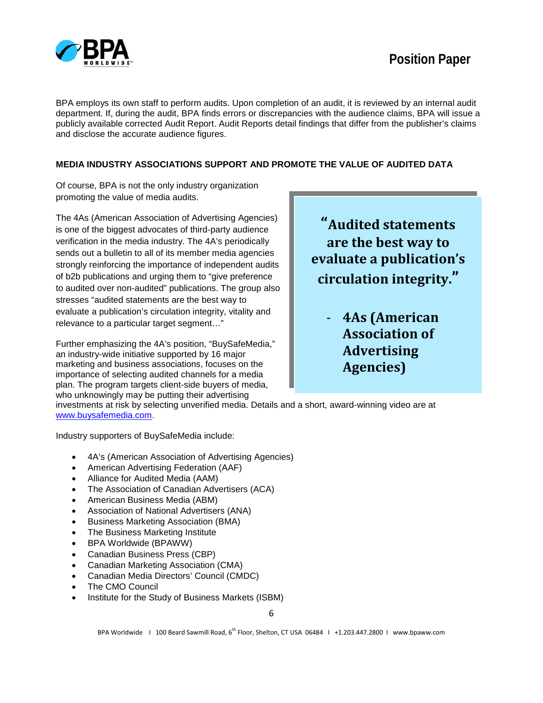

BPA employs its own staff to perform audits. Upon completion of an audit, it is reviewed by an internal audit department. If, during the audit, BPA finds errors or discrepancies with the audience claims, BPA will issue a publicly available corrected Audit Report. Audit Reports detail findings that differ from the publisher's claims and disclose the accurate audience figures.

### **MEDIA INDUSTRY ASSOCIATIONS SUPPORT AND PROMOTE THE VALUE OF AUDITED DATA**

Of course, BPA is not the only industry organization promoting the value of media audits.

The 4As (American Association of Advertising Agencies) is one of the biggest advocates of third-party audience verification in the media industry. The 4A's periodically sends out a bulletin to all of its member media agencies strongly reinforcing the importance of independent audits of b2b publications and urging them to "give preference to audited over non-audited" publications. The group also stresses "audited statements are the best way to evaluate a publication's circulation integrity, vitality and relevance to a particular target segment…"

Further emphasizing the 4A's position, "BuySafeMedia," an industry-wide initiative supported by 16 major marketing and business associations, focuses on the importance of selecting audited channels for a media plan. The program targets client-side buyers of media, who unknowingly may be putting their advertising

**"Audited statements are the best way to evaluate a publication's circulation integrity."**

> - **4As (American Association of Advertising Agencies)**

investments at risk by selecting unverified media. Details and a short, award-winning video are at www.buysafemedia.com.

Industry supporters of BuySafeMedia include:

- 4A's (American Association of Advertising Agencies)
- American Advertising Federation (AAF)
- Alliance for Audited Media (AAM)
- The Association of Canadian Advertisers (ACA)
- American Business Media (ABM)
- Association of National Advertisers (ANA)
- Business Marketing Association (BMA)
- The Business Marketing Institute
- BPA Worldwide (BPAWW)
- Canadian Business Press (CBP)
- Canadian Marketing Association (CMA)
- Canadian Media Directors' Council (CMDC)
- The CMO Council
- Institute for the Study of Business Markets (ISBM)